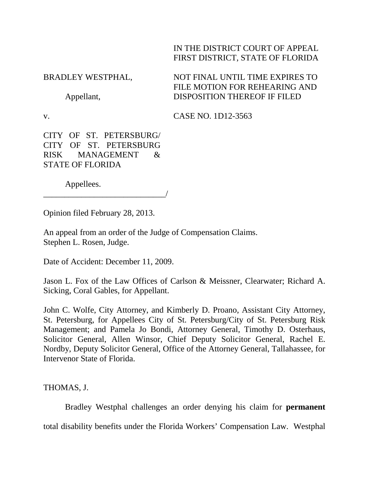## IN THE DISTRICT COURT OF APPEAL FIRST DISTRICT, STATE OF FLORIDA

BRADLEY WESTPHAL,

Appellant,

v.

NOT FINAL UNTIL TIME EXPIRES TO FILE MOTION FOR REHEARING AND DISPOSITION THEREOF IF FILED

CASE NO. 1D12-3563

CITY OF ST. PETERSBURG/ CITY OF ST. PETERSBURG RISK MANAGEMENT & STATE OF FLORIDA

Appellees.

\_\_\_\_\_\_\_\_\_\_\_\_\_\_\_\_\_\_\_\_\_\_\_\_\_\_\_\_\_/

Opinion filed February 28, 2013.

An appeal from an order of the Judge of Compensation Claims. Stephen L. Rosen, Judge.

Date of Accident: December 11, 2009.

Jason L. Fox of the Law Offices of Carlson & Meissner, Clearwater; Richard A. Sicking, Coral Gables, for Appellant.

John C. Wolfe, City Attorney, and Kimberly D. Proano, Assistant City Attorney, St. Petersburg, for Appellees City of St. Petersburg/City of St. Petersburg Risk Management; and Pamela Jo Bondi, Attorney General, Timothy D. Osterhaus, Solicitor General, Allen Winsor, Chief Deputy Solicitor General, Rachel E. Nordby, Deputy Solicitor General, Office of the Attorney General, Tallahassee, for Intervenor State of Florida.

THOMAS, J.

Bradley Westphal challenges an order denying his claim for **permanent**

total disability benefits under the Florida Workers' Compensation Law. Westphal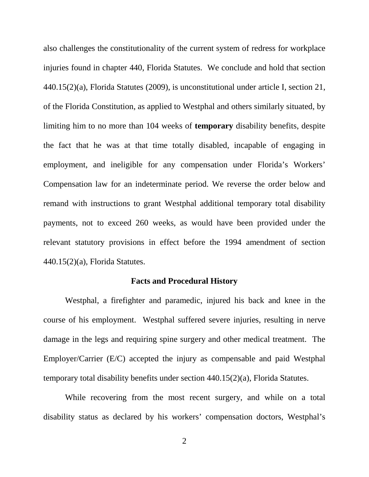also challenges the constitutionality of the current system of redress for workplace injuries found in chapter 440, Florida Statutes. We conclude and hold that section 440.15(2)(a), Florida Statutes (2009), is unconstitutional under article I, section 21, of the Florida Constitution, as applied to Westphal and others similarly situated, by limiting him to no more than 104 weeks of **temporary** disability benefits, despite the fact that he was at that time totally disabled, incapable of engaging in employment, and ineligible for any compensation under Florida's Workers' Compensation law for an indeterminate period. We reverse the order below and remand with instructions to grant Westphal additional temporary total disability payments, not to exceed 260 weeks, as would have been provided under the relevant statutory provisions in effect before the 1994 amendment of section 440.15(2)(a), Florida Statutes.

### **Facts and Procedural History**

Westphal, a firefighter and paramedic, injured his back and knee in the course of his employment. Westphal suffered severe injuries, resulting in nerve damage in the legs and requiring spine surgery and other medical treatment. The Employer/Carrier (E/C) accepted the injury as compensable and paid Westphal temporary total disability benefits under section 440.15(2)(a), Florida Statutes.

While recovering from the most recent surgery, and while on a total disability status as declared by his workers' compensation doctors, Westphal's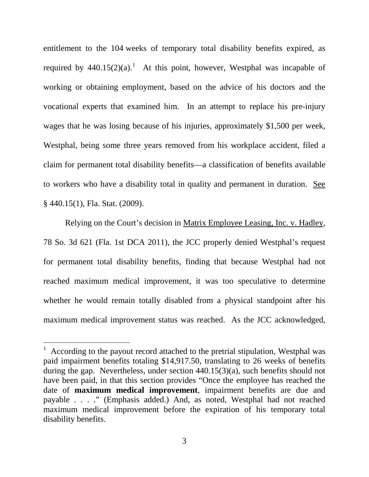entitlement to the 104 weeks of temporary total disability benefits expired, as required by  $440.15(2)(a)$  $440.15(2)(a)$  $440.15(2)(a)$ .<sup>1</sup> At this point, however, Westphal was incapable of working or obtaining employment, based on the advice of his doctors and the vocational experts that examined him. In an attempt to replace his pre-injury wages that he was losing because of his injuries, approximately \$1,500 per week, Westphal, being some three years removed from his workplace accident, filed a claim for permanent total disability benefits—a classification of benefits available to workers who have a disability total in quality and permanent in duration. See § 440.15(1), Fla. Stat. (2009).

Relying on the Court's decision in Matrix Employee Leasing, Inc. v. Hadley, 78 So. 3d 621 (Fla. 1st DCA 2011), the JCC properly denied Westphal's request for permanent total disability benefits, finding that because Westphal had not reached maximum medical improvement, it was too speculative to determine whether he would remain totally disabled from a physical standpoint after his maximum medical improvement status was reached. As the JCC acknowledged,

 $\overline{a}$ 

<span id="page-2-0"></span> $1$  According to the payout record attached to the pretrial stipulation, Westphal was paid impairment benefits totaling \$14,917.50, translating to 26 weeks of benefits during the gap. Nevertheless, under section 440.15(3)(a), such benefits should not have been paid, in that this section provides "Once the employee has reached the date of **maximum medical improvement**, impairment benefits are due and payable . . . ." (Emphasis added.) And, as noted, Westphal had not reached maximum medical improvement before the expiration of his temporary total disability benefits.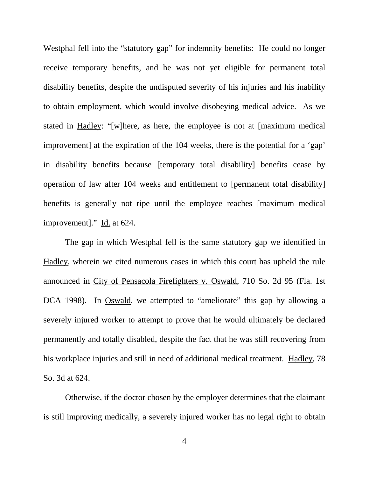Westphal fell into the "statutory gap" for indemnity benefits: He could no longer receive temporary benefits, and he was not yet eligible for permanent total disability benefits, despite the undisputed severity of his injuries and his inability to obtain employment, which would involve disobeying medical advice. As we stated in Hadley: "[w]here, as here, the employee is not at [maximum medical improvement] at the expiration of the 104 weeks, there is the potential for a 'gap' in disability benefits because [temporary total disability] benefits cease by operation of law after 104 weeks and entitlement to [permanent total disability] benefits is generally not ripe until the employee reaches [maximum medical improvement]." Id. at 624.

The gap in which Westphal fell is the same statutory gap we identified in Hadley, wherein we cited numerous cases in which this court has upheld the rule announced in City of Pensacola Firefighters v. Oswald, 710 So. 2d 95 (Fla. 1st DCA 1998). In Oswald, we attempted to "ameliorate" this gap by allowing a severely injured worker to attempt to prove that he would ultimately be declared permanently and totally disabled, despite the fact that he was still recovering from his workplace injuries and still in need of additional medical treatment. Hadley, 78 So. 3d at 624.

Otherwise, if the doctor chosen by the employer determines that the claimant is still improving medically, a severely injured worker has no legal right to obtain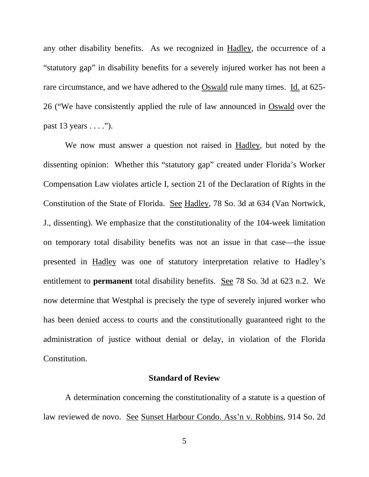any other disability benefits. As we recognized in Hadley, the occurrence of a "statutory gap" in disability benefits for a severely injured worker has not been a rare circumstance, and we have adhered to the Oswald rule many times. Id. at 625- 26 ("We have consistently applied the rule of law announced in Oswald over the past  $13 \text{ years} \dots$ ").

We now must answer a question not raised in Hadley, but noted by the dissenting opinion: Whether this "statutory gap" created under Florida's Worker Compensation Law violates article I, section 21 of the Declaration of Rights in the Constitution of the State of Florida. See Hadley, 78 So. 3d at 634 (Van Nortwick, J., dissenting). We emphasize that the constitutionality of the 104-week limitation on temporary total disability benefits was not an issue in that case—the issue presented in Hadley was one of statutory interpretation relative to Hadley's entitlement to **permanent** total disability benefits. See 78 So. 3d at 623 n.2. We now determine that Westphal is precisely the type of severely injured worker who has been denied access to courts and the constitutionally guaranteed right to the administration of justice without denial or delay, in violation of the Florida Constitution.

#### **Standard of Review**

A determination concerning the constitutionality of a statute is a question of law reviewed de novo. See Sunset Harbour Condo. Ass'n v. Robbins, 914 So. 2d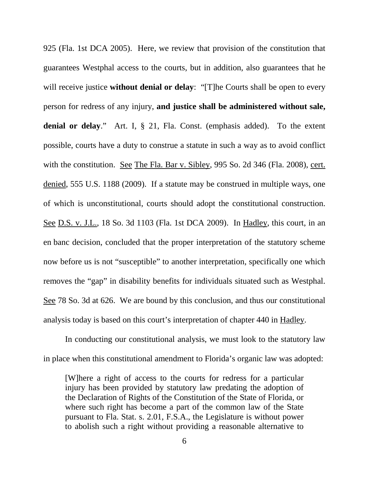925 (Fla. 1st DCA 2005). Here, we review that provision of the constitution that guarantees Westphal access to the courts, but in addition, also guarantees that he will receive justice **without denial or delay**: "[T]he Courts shall be open to every person for redress of any injury, **and justice shall be administered without sale, denial or delay**." Art. I, § 21, Fla. Const. (emphasis added). To the extent possible, courts have a duty to construe a statute in such a way as to avoid conflict with the constitution. See The Fla. Bar v. Sibley, 995 So. 2d 346 (Fla. 2008), cert. denied, 555 U.S. 1188 (2009). If a statute may be construed in multiple ways, one of which is unconstitutional, courts should adopt the constitutional construction. See D.S. v. J.L., 18 So. 3d 1103 (Fla. 1st DCA 2009). In Hadley, this court, in an en banc decision, concluded that the proper interpretation of the statutory scheme now before us is not "susceptible" to another interpretation, specifically one which removes the "gap" in disability benefits for individuals situated such as Westphal. See 78 So. 3d at 626. We are bound by this conclusion, and thus our constitutional analysis today is based on this court's interpretation of chapter 440 in Hadley.

In conducting our constitutional analysis, we must look to the statutory law in place when this constitutional amendment to Florida's organic law was adopted:

[W]here a right of access to the courts for redress for a particular injury has been provided by statutory law predating the adoption of the Declaration of Rights of the Constitution of the State of Florida, or where such right has become a part of the common law of the State pursuant to Fla. Stat. s. 2.01, F.S.A., the Legislature is without power to abolish such a right without providing a reasonable alternative to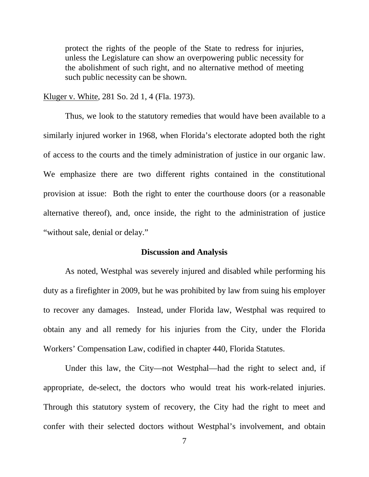protect the rights of the people of the State to redress for injuries, unless the Legislature can show an overpowering public necessity for the abolishment of such right, and no alternative method of meeting such public necessity can be shown.

Kluger v. White, 281 So. 2d 1, 4 (Fla. 1973).

Thus, we look to the statutory remedies that would have been available to a similarly injured worker in 1968, when Florida's electorate adopted both the right of access to the courts and the timely administration of justice in our organic law. We emphasize there are two different rights contained in the constitutional provision at issue: Both the right to enter the courthouse doors (or a reasonable alternative thereof), and, once inside, the right to the administration of justice "without sale, denial or delay."

#### **Discussion and Analysis**

As noted, Westphal was severely injured and disabled while performing his duty as a firefighter in 2009, but he was prohibited by law from suing his employer to recover any damages. Instead, under Florida law, Westphal was required to obtain any and all remedy for his injuries from the City, under the Florida Workers' Compensation Law, codified in chapter 440, Florida Statutes.

Under this law, the City—not Westphal—had the right to select and, if appropriate, de-select, the doctors who would treat his work-related injuries. Through this statutory system of recovery, the City had the right to meet and confer with their selected doctors without Westphal's involvement, and obtain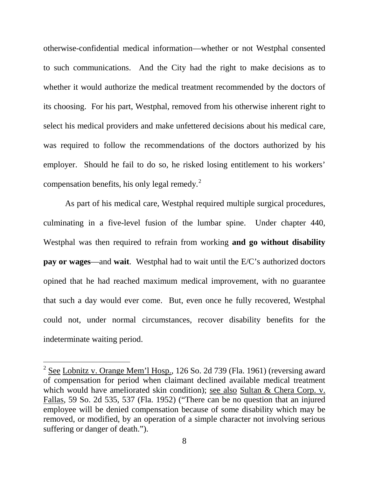otherwise-confidential medical information—whether or not Westphal consented to such communications. And the City had the right to make decisions as to whether it would authorize the medical treatment recommended by the doctors of its choosing. For his part, Westphal, removed from his otherwise inherent right to select his medical providers and make unfettered decisions about his medical care, was required to follow the recommendations of the doctors authorized by his employer. Should he fail to do so, he risked losing entitlement to his workers' compensation benefits, his only legal remedy. $2^2$  $2^2$ 

As part of his medical care, Westphal required multiple surgical procedures, culminating in a five-level fusion of the lumbar spine. Under chapter 440, Westphal was then required to refrain from working **and go without disability pay or wages**—and **wait**. Westphal had to wait until the E/C's authorized doctors opined that he had reached maximum medical improvement, with no guarantee that such a day would ever come. But, even once he fully recovered, Westphal could not, under normal circumstances, recover disability benefits for the indeterminate waiting period.

<span id="page-7-0"></span> $\overline{a}$  $2^{2}$  See Lobnitz v. Orange Mem'l Hosp., 126 So. 2d 739 (Fla. 1961) (reversing award of compensation for period when claimant declined available medical treatment which would have ameliorated skin condition); see also Sultan & Chera Corp. v. Fallas, 59 So. 2d 535, 537 (Fla. 1952) ("There can be no question that an injured employee will be denied compensation because of some disability which may be removed, or modified, by an operation of a simple character not involving serious suffering or danger of death.").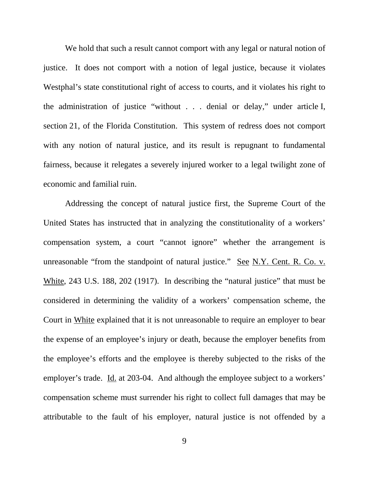We hold that such a result cannot comport with any legal or natural notion of justice. It does not comport with a notion of legal justice, because it violates Westphal's state constitutional right of access to courts, and it violates his right to the administration of justice "without . . . denial or delay," under article I, section 21, of the Florida Constitution. This system of redress does not comport with any notion of natural justice, and its result is repugnant to fundamental fairness, because it relegates a severely injured worker to a legal twilight zone of economic and familial ruin.

Addressing the concept of natural justice first, the Supreme Court of the United States has instructed that in analyzing the constitutionality of a workers' compensation system, a court "cannot ignore" whether the arrangement is unreasonable "from the standpoint of natural justice." See N.Y. Cent. R. Co. v. White, 243 U.S. 188, 202 (1917). In describing the "natural justice" that must be considered in determining the validity of a workers' compensation scheme, the Court in White explained that it is not unreasonable to require an employer to bear the expense of an employee's injury or death, because the employer benefits from the employee's efforts and the employee is thereby subjected to the risks of the employer's trade. Id. at 203-04. And although the employee subject to a workers' compensation scheme must surrender his right to collect full damages that may be attributable to the fault of his employer, natural justice is not offended by a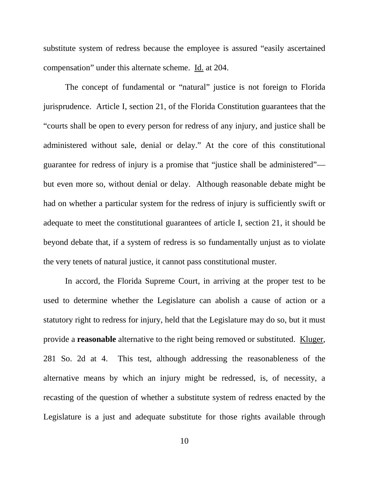substitute system of redress because the employee is assured "easily ascertained compensation" under this alternate scheme. Id. at 204.

The concept of fundamental or "natural" justice is not foreign to Florida jurisprudence. Article I, section 21, of the Florida Constitution guarantees that the "courts shall be open to every person for redress of any injury, and justice shall be administered without sale, denial or delay." At the core of this constitutional guarantee for redress of injury is a promise that "justice shall be administered" but even more so, without denial or delay. Although reasonable debate might be had on whether a particular system for the redress of injury is sufficiently swift or adequate to meet the constitutional guarantees of article I, section 21, it should be beyond debate that, if a system of redress is so fundamentally unjust as to violate the very tenets of natural justice, it cannot pass constitutional muster.

In accord, the Florida Supreme Court, in arriving at the proper test to be used to determine whether the Legislature can abolish a cause of action or a statutory right to redress for injury, held that the Legislature may do so, but it must provide a **reasonable** alternative to the right being removed or substituted. Kluger, 281 So. 2d at 4. This test, although addressing the reasonableness of the alternative means by which an injury might be redressed, is, of necessity, a recasting of the question of whether a substitute system of redress enacted by the Legislature is a just and adequate substitute for those rights available through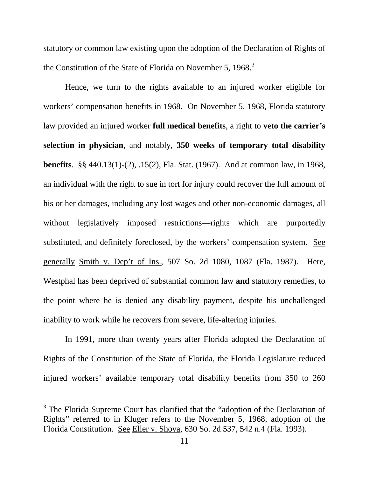statutory or common law existing upon the adoption of the Declaration of Rights of the Constitution of the State of Florida on November 5, 1968.<sup>[3](#page-10-0)</sup>

Hence, we turn to the rights available to an injured worker eligible for workers' compensation benefits in 1968. On November 5, 1968, Florida statutory law provided an injured worker **full medical benefits**, a right to **veto the carrier's selection in physician**, and notably, **350 weeks of temporary total disability benefits**. §§ 440.13(1)-(2), .15(2), Fla. Stat. (1967). And at common law, in 1968, an individual with the right to sue in tort for injury could recover the full amount of his or her damages, including any lost wages and other non-economic damages, all without legislatively imposed restrictions—rights which are purportedly substituted, and definitely foreclosed, by the workers' compensation system. See generally Smith v. Dep't of Ins., 507 So. 2d 1080, 1087 (Fla. 1987). Here, Westphal has been deprived of substantial common law **and** statutory remedies, to the point where he is denied any disability payment, despite his unchallenged inability to work while he recovers from severe, life-altering injuries.

In 1991, more than twenty years after Florida adopted the Declaration of Rights of the Constitution of the State of Florida, the Florida Legislature reduced injured workers' available temporary total disability benefits from 350 to 260

 $\overline{a}$ 

<span id="page-10-0"></span> $3$  The Florida Supreme Court has clarified that the "adoption of the Declaration of Rights" referred to in Kluger refers to the November 5, 1968, adoption of the Florida Constitution. See Eller v. Shova, 630 So. 2d 537, 542 n.4 (Fla. 1993).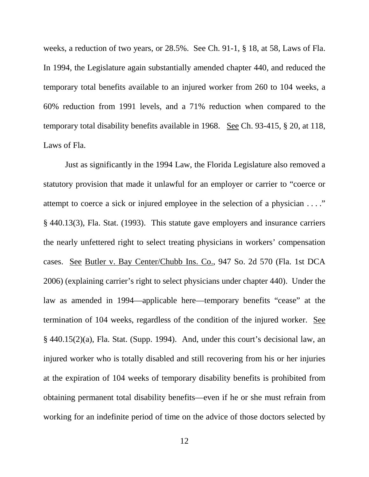weeks, a reduction of two years, or 28.5%. See Ch. 91-1, § 18, at 58, Laws of Fla. In 1994, the Legislature again substantially amended chapter 440, and reduced the temporary total benefits available to an injured worker from 260 to 104 weeks, a 60% reduction from 1991 levels, and a 71% reduction when compared to the temporary total disability benefits available in 1968.See Ch. 93-415, § 20, at 118, Laws of Fla.

Just as significantly in the 1994 Law, the Florida Legislature also removed a statutory provision that made it unlawful for an employer or carrier to "coerce or attempt to coerce a sick or injured employee in the selection of a physician . . . ." § 440.13(3), Fla. Stat. (1993). This statute gave employers and insurance carriers the nearly unfettered right to select treating physicians in workers' compensation cases. See Butler v. Bay Center/Chubb Ins. Co., 947 So. 2d 570 (Fla. 1st DCA 2006) (explaining carrier's right to select physicians under chapter 440). Under the law as amended in 1994—applicable here—temporary benefits "cease" at the termination of 104 weeks, regardless of the condition of the injured worker. See § 440.15(2)(a), Fla. Stat. (Supp. 1994). And, under this court's decisional law, an injured worker who is totally disabled and still recovering from his or her injuries at the expiration of 104 weeks of temporary disability benefits is prohibited from obtaining permanent total disability benefits—even if he or she must refrain from working for an indefinite period of time on the advice of those doctors selected by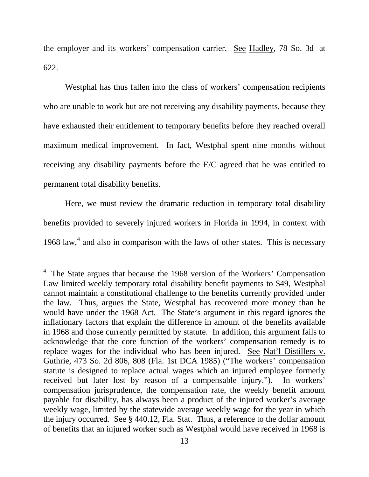the employer and its workers' compensation carrier. See Hadley, 78 So. 3d at 622.

Westphal has thus fallen into the class of workers' compensation recipients who are unable to work but are not receiving any disability payments, because they have exhausted their entitlement to temporary benefits before they reached overall maximum medical improvement. In fact, Westphal spent nine months without receiving any disability payments before the E/C agreed that he was entitled to permanent total disability benefits.

Here, we must review the dramatic reduction in temporary total disability benefits provided to severely injured workers in Florida in 1994, in context with 1968 law, [4](#page-12-0) and also in comparison with the laws of other states. This is necessary

<span id="page-12-0"></span> $\frac{1}{2}$  $4$  The State argues that because the 1968 version of the Workers' Compensation Law limited weekly temporary total disability benefit payments to \$49, Westphal cannot maintain a constitutional challenge to the benefits currently provided under the law. Thus, argues the State, Westphal has recovered more money than he would have under the 1968 Act. The State's argument in this regard ignores the inflationary factors that explain the difference in amount of the benefits available in 1968 and those currently permitted by statute. In addition, this argument fails to acknowledge that the core function of the workers' compensation remedy is to replace wages for the individual who has been injured. See Nat'l Distillers v. Guthrie, 473 So. 2d 806, 808 (Fla. 1st DCA 1985) ("The workers' compensation statute is designed to replace actual wages which an injured employee formerly received but later lost by reason of a compensable injury."). In workers' compensation jurisprudence, the compensation rate, the weekly benefit amount payable for disability, has always been a product of the injured worker's average weekly wage, limited by the statewide average weekly wage for the year in which the injury occurred. See § 440.12, Fla. Stat. Thus, a reference to the dollar amount of benefits that an injured worker such as Westphal would have received in 1968 is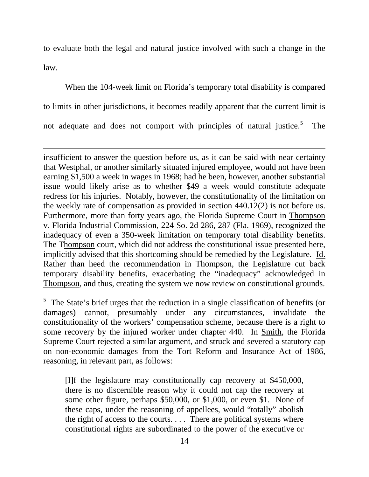to evaluate both the legal and natural justice involved with such a change in the law.

When the 104-week limit on Florida's temporary total disability is compared to limits in other jurisdictions, it becomes readily apparent that the current limit is not adequate and does not comport with principles of natural justice.<sup>[5](#page-13-0)</sup> The

Ĩ. insufficient to answer the question before us, as it can be said with near certainty that Westphal, or another similarly situated injured employee, would not have been earning \$1,500 a week in wages in 1968; had he been, however, another substantial issue would likely arise as to whether \$49 a week would constitute adequate redress for his injuries. Notably, however, the constitutionality of the limitation on the weekly rate of compensation as provided in section 440.12(2) is not before us. Furthermore, more than forty years ago, the Florida Supreme Court in Thompson v. Florida Industrial Commission, 224 So. 2d 286, 287 (Fla. 1969), recognized the inadequacy of even a 350-week limitation on temporary total disability benefits. The Thompson court, which did not address the constitutional issue presented here, implicitly advised that this shortcoming should be remedied by the Legislature. Id. Rather than heed the recommendation in Thompson, the Legislature cut back temporary disability benefits, exacerbating the "inadequacy" acknowledged in Thompson, and thus, creating the system we now review on constitutional grounds.

<span id="page-13-0"></span> $<sup>5</sup>$  The State's brief urges that the reduction in a single classification of benefits (or</sup> damages) cannot, presumably under any circumstances, invalidate the constitutionality of the workers' compensation scheme, because there is a right to some recovery by the injured worker under chapter 440. In Smith, the Florida Supreme Court rejected a similar argument, and struck and severed a statutory cap on non-economic damages from the Tort Reform and Insurance Act of 1986, reasoning, in relevant part, as follows:

[I]f the legislature may constitutionally cap recovery at \$450,000, there is no discernible reason why it could not cap the recovery at some other figure, perhaps \$50,000, or \$1,000, or even \$1. None of these caps, under the reasoning of appellees, would "totally" abolish the right of access to the courts. . . . There are political systems where constitutional rights are subordinated to the power of the executive or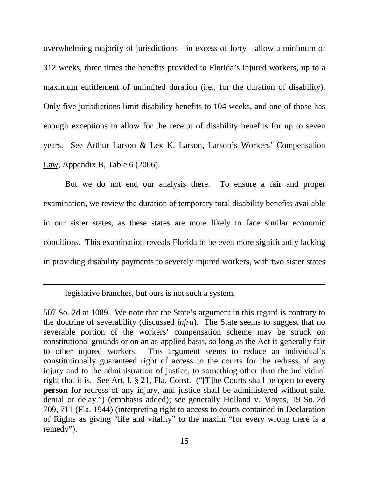overwhelming majority of jurisdictions—in excess of forty—allow a minimum of 312 weeks, three times the benefits provided to Florida's injured workers, up to a maximum entitlement of unlimited duration (i.e., for the duration of disability). Only five jurisdictions limit disability benefits to 104 weeks, and one of those has enough exceptions to allow for the receipt of disability benefits for up to seven years. See Arthur Larson & Lex K. Larson, Larson's Workers' Compensation Law, Appendix B, Table 6 (2006).

But we do not end our analysis there. To ensure a fair and proper examination, we review the duration of temporary total disability benefits available in our sister states, as these states are more likely to face similar economic conditions. This examination reveals Florida to be even more significantly lacking in providing disability payments to severely injured workers, with two sister states

legislative branches, but ours is not such a system.

ī

<sup>507</sup> So. 2d at 1089. We note that the State's argument in this regard is contrary to the doctrine of severability (discussed *infra*). The State seems to suggest that no severable portion of the workers' compensation scheme may be struck on constitutional grounds or on an as-applied basis, so long as the Act is generally fair to other injured workers. This argument seems to reduce an individual's constitutionally guaranteed right of access to the courts for the redress of any injury and to the administration of justice, to something other than the individual right that it is. See Art. I, § 21, Fla. Const. ("[T]he Courts shall be open to **every person** for redress of any injury, and justice shall be administered without sale, denial or delay.") (emphasis added); see generally Holland v. Mayes, 19 So. 2d 709, 711 (Fla. 1944) (interpreting right to access to courts contained in Declaration of Rights as giving "life and vitality" to the maxim "for every wrong there is a remedy").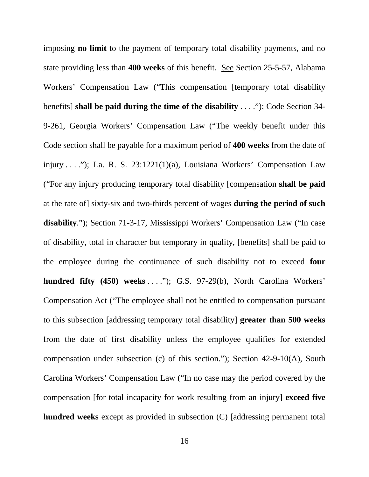imposing **no limit** to the payment of temporary total disability payments, and no state providing less than **400 weeks** of this benefit. See Section 25-5-57, Alabama Workers' Compensation Law ("This compensation [temporary total disability benefits] **shall be paid during the time of the disability** . . . ."); Code Section 34- 9-261, Georgia Workers' Compensation Law ("The weekly benefit under this Code section shall be payable for a maximum period of **400 weeks** from the date of injury . . . ."); La. R. S. 23:1221(1)(a), Louisiana Workers' Compensation Law ("For any injury producing temporary total disability [compensation **shall be paid** at the rate of] sixty-six and two-thirds percent of wages **during the period of such disability**."); Section 71-3-17, Mississippi Workers' Compensation Law ("In case of disability, total in character but temporary in quality, [benefits] shall be paid to the employee during the continuance of such disability not to exceed **four hundred fifty (450) weeks** . . . ."); G.S. 97-29(b), North Carolina Workers' Compensation Act ("The employee shall not be entitled to compensation pursuant to this subsection [addressing temporary total disability] **greater than 500 weeks** from the date of first disability unless the employee qualifies for extended compensation under subsection (c) of this section."); Section 42-9-10(A), South Carolina Workers' Compensation Law ("In no case may the period covered by the compensation [for total incapacity for work resulting from an injury] **exceed five hundred weeks** except as provided in subsection (C) [addressing permanent total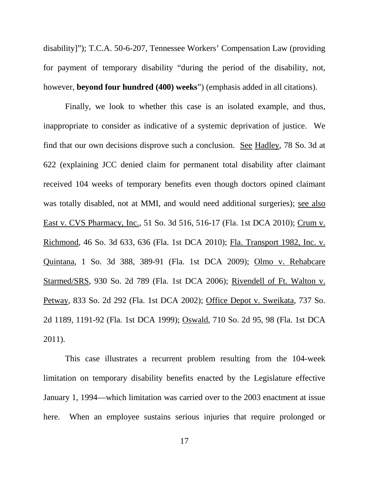disability]"); T.C.A. 50-6-207, Tennessee Workers' Compensation Law (providing for payment of temporary disability "during the period of the disability, not, however, **beyond four hundred (400) weeks**") (emphasis added in all citations).

Finally, we look to whether this case is an isolated example, and thus, inappropriate to consider as indicative of a systemic deprivation of justice. We find that our own decisions disprove such a conclusion. See Hadley, 78 So. 3d at 622 (explaining JCC denied claim for permanent total disability after claimant received 104 weeks of temporary benefits even though doctors opined claimant was totally disabled, not at MMI, and would need additional surgeries); see also East v. CVS Pharmacy, Inc., 51 So. 3d 516, 516-17 (Fla. 1st DCA 2010); Crum v. Richmond, 46 So. 3d 633, 636 (Fla. 1st DCA 2010); Fla. Transport 1982, Inc. v. Quintana, 1 So. 3d 388, 389-91 (Fla. 1st DCA 2009); Olmo v. Rehabcare Starmed/SRS, 930 So. 2d 789 (Fla. 1st DCA 2006); Rivendell of Ft. Walton v. Petway, 833 So. 2d 292 (Fla. 1st DCA 2002); Office Depot v. Sweikata, 737 So. 2d 1189, 1191-92 (Fla. 1st DCA 1999); Oswald, 710 So. 2d 95, 98 (Fla. 1st DCA 2011).

This case illustrates a recurrent problem resulting from the 104-week limitation on temporary disability benefits enacted by the Legislature effective January 1, 1994—which limitation was carried over to the 2003 enactment at issue here. When an employee sustains serious injuries that require prolonged or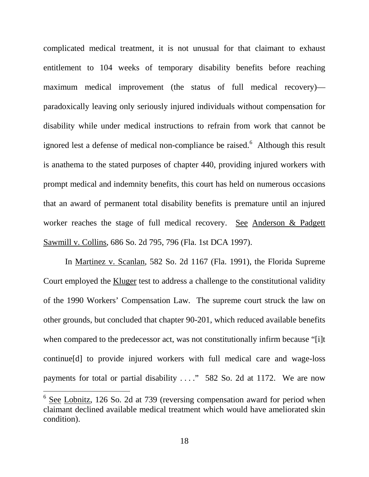complicated medical treatment, it is not unusual for that claimant to exhaust entitlement to 104 weeks of temporary disability benefits before reaching maximum medical improvement (the status of full medical recovery) paradoxically leaving only seriously injured individuals without compensation for disability while under medical instructions to refrain from work that cannot be ignored lest a defense of medical non-compliance be raised.<sup>[6](#page-17-0)</sup> Although this result is anathema to the stated purposes of chapter 440, providing injured workers with prompt medical and indemnity benefits, this court has held on numerous occasions that an award of permanent total disability benefits is premature until an injured worker reaches the stage of full medical recovery. See Anderson & Padgett Sawmill v. Collins, 686 So. 2d 795, 796 (Fla. 1st DCA 1997).

In Martinez v. Scanlan, 582 So. 2d 1167 (Fla. 1991), the Florida Supreme Court employed the Kluger test to address a challenge to the constitutional validity of the 1990 Workers' Compensation Law. The supreme court struck the law on other grounds, but concluded that chapter 90-201, which reduced available benefits when compared to the predecessor act, was not constitutionally infirm because "[i]t continue[d] to provide injured workers with full medical care and wage-loss payments for total or partial disability . . . ." 582 So. 2d at 1172. We are now

 $\frac{1}{2}$ 

<span id="page-17-0"></span> $6$  See Lobnitz, 126 So. 2d at 739 (reversing compensation award for period when claimant declined available medical treatment which would have ameliorated skin condition).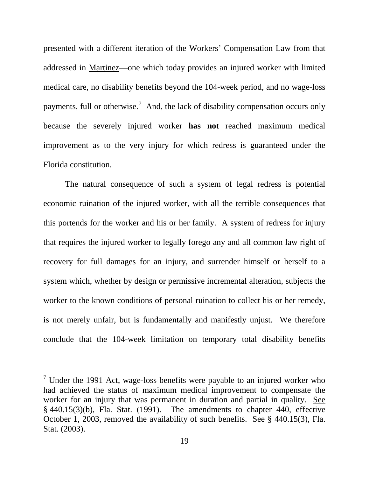presented with a different iteration of the Workers' Compensation Law from that addressed in Martinez—one which today provides an injured worker with limited medical care, no disability benefits beyond the 104-week period, and no wage-loss payments, full or otherwise.<sup>[7](#page-18-0)</sup> And, the lack of disability compensation occurs only because the severely injured worker **has not** reached maximum medical improvement as to the very injury for which redress is guaranteed under the Florida constitution.

The natural consequence of such a system of legal redress is potential economic ruination of the injured worker, with all the terrible consequences that this portends for the worker and his or her family. A system of redress for injury that requires the injured worker to legally forego any and all common law right of recovery for full damages for an injury, and surrender himself or herself to a system which, whether by design or permissive incremental alteration, subjects the worker to the known conditions of personal ruination to collect his or her remedy, is not merely unfair, but is fundamentally and manifestly unjust. We therefore conclude that the 104-week limitation on temporary total disability benefits

 $\overline{a}$ 

<span id="page-18-0"></span> $7$  Under the 1991 Act, wage-loss benefits were payable to an injured worker who had achieved the status of maximum medical improvement to compensate the worker for an injury that was permanent in duration and partial in quality. See  $§$  440.15(3)(b), Fla. Stat. (1991). The amendments to chapter 440, effective October 1, 2003, removed the availability of such benefits. See § 440.15(3), Fla. Stat. (2003).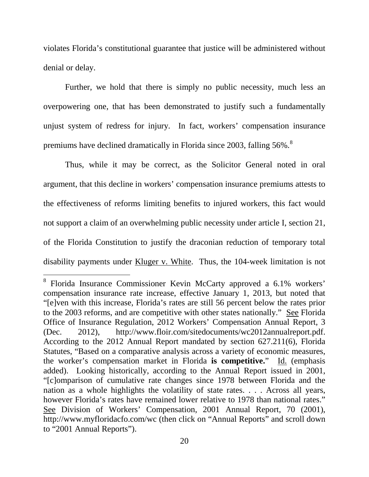violates Florida's constitutional guarantee that justice will be administered without denial or delay.

Further, we hold that there is simply no public necessity, much less an overpowering one, that has been demonstrated to justify such a fundamentally unjust system of redress for injury. In fact, workers' compensation insurance premiums have declined dramatically in Florida since 2003, falling 56%.<sup>[8](#page-19-0)</sup>

Thus, while it may be correct, as the Solicitor General noted in oral argument, that this decline in workers' compensation insurance premiums attests to the effectiveness of reforms limiting benefits to injured workers, this fact would not support a claim of an overwhelming public necessity under article I, section 21, of the Florida Constitution to justify the draconian reduction of temporary total disability payments under Kluger v. White. Thus, the 104-week limitation is not

<span id="page-19-0"></span> $\frac{1}{\sqrt{2}}$ <sup>8</sup> Florida Insurance Commissioner Kevin McCarty approved a 6.1% workers' compensation insurance rate increase, effective January 1, 2013, but noted that "[e]ven with this increase, Florida's rates are still 56 percent below the rates prior to the 2003 reforms, and are competitive with other states nationally." See Florida Office of Insurance Regulation, 2012 Workers' Compensation Annual Report, 3 (Dec. 2012), http://www.floir.com/sitedocuments/wc2012annualreport.pdf. According to the 2012 Annual Report mandated by section 627.211(6), Florida Statutes, "Based on a comparative analysis across a variety of economic measures, the worker's compensation market in Florida **is competitive.**" Id. (emphasis added). Looking historically, according to the Annual Report issued in 2001, "[c]omparison of cumulative rate changes since 1978 between Florida and the nation as a whole highlights the volatility of state rates. . . . Across all years, however Florida's rates have remained lower relative to 1978 than national rates." See Division of Workers' Compensation, 2001 Annual Report, 70 (2001), http://www.myfloridacfo.com/wc (then click on "Annual Reports" and scroll down to "2001 Annual Reports").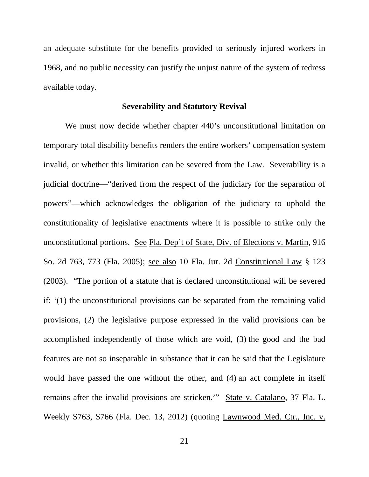an adequate substitute for the benefits provided to seriously injured workers in 1968, and no public necessity can justify the unjust nature of the system of redress available today.

#### **Severability and Statutory Revival**

We must now decide whether chapter 440's unconstitutional limitation on temporary total disability benefits renders the entire workers' compensation system invalid, or whether this limitation can be severed from the Law. Severability is a judicial doctrine—"derived from the respect of the judiciary for the separation of powers"—which acknowledges the obligation of the judiciary to uphold the constitutionality of legislative enactments where it is possible to strike only the unconstitutional portions. See Fla. Dep't of State, Div. of Elections v. Martin, 916 So. 2d 763, 773 (Fla. 2005); see also 10 Fla. Jur. 2d Constitutional Law § 123 (2003). "The portion of a statute that is declared unconstitutional will be severed if: '(1) the unconstitutional provisions can be separated from the remaining valid provisions, (2) the legislative purpose expressed in the valid provisions can be accomplished independently of those which are void, (3) the good and the bad features are not so inseparable in substance that it can be said that the Legislature would have passed the one without the other, and (4) an act complete in itself remains after the invalid provisions are stricken.'" State v. Catalano, 37 Fla. L. Weekly S763, S766 (Fla. Dec. 13, 2012) (quoting Lawnwood Med. Ctr., Inc. v.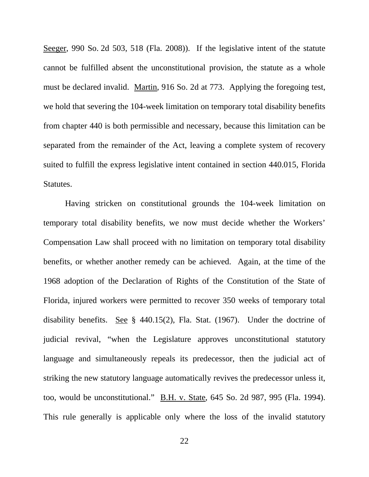Seeger, 990 So. 2d 503, 518 (Fla. 2008)). If the legislative intent of the statute cannot be fulfilled absent the unconstitutional provision, the statute as a whole must be declared invalid. Martin, 916 So. 2d at 773. Applying the foregoing test, we hold that severing the 104-week limitation on temporary total disability benefits from chapter 440 is both permissible and necessary, because this limitation can be separated from the remainder of the Act, leaving a complete system of recovery suited to fulfill the express legislative intent contained in section 440.015, Florida Statutes.

Having stricken on constitutional grounds the 104-week limitation on temporary total disability benefits, we now must decide whether the Workers' Compensation Law shall proceed with no limitation on temporary total disability benefits, or whether another remedy can be achieved. Again, at the time of the 1968 adoption of the Declaration of Rights of the Constitution of the State of Florida, injured workers were permitted to recover 350 weeks of temporary total disability benefits. See § 440.15(2), Fla. Stat. (1967). Under the doctrine of judicial revival, "when the Legislature approves unconstitutional statutory language and simultaneously repeals its predecessor, then the judicial act of striking the new statutory language automatically revives the predecessor unless it, too, would be unconstitutional." B.H. v. State, 645 So. 2d 987, 995 (Fla. 1994). This rule generally is applicable only where the loss of the invalid statutory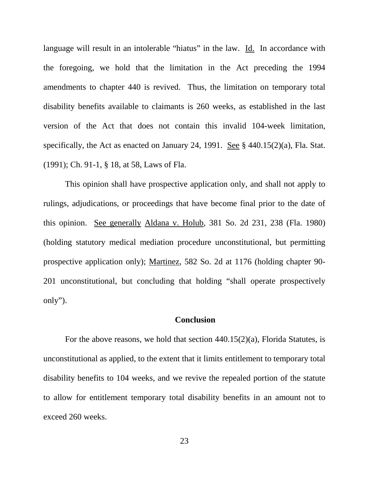language will result in an intolerable "hiatus" in the law. Id. In accordance with the foregoing, we hold that the limitation in the Act preceding the 1994 amendments to chapter 440 is revived. Thus, the limitation on temporary total disability benefits available to claimants is 260 weeks, as established in the last version of the Act that does not contain this invalid 104-week limitation, specifically, the Act as enacted on January 24, 1991. See  $\S$  440.15(2)(a), Fla. Stat. (1991); Ch. 91-1, § 18, at 58, Laws of Fla.

This opinion shall have prospective application only, and shall not apply to rulings, adjudications, or proceedings that have become final prior to the date of this opinion. See generally Aldana v. Holub, 381 So. 2d 231, 238 (Fla. 1980) (holding statutory medical mediation procedure unconstitutional, but permitting prospective application only); Martinez, 582 So. 2d at 1176 (holding chapter 90- 201 unconstitutional, but concluding that holding "shall operate prospectively only").

#### **Conclusion**

For the above reasons, we hold that section 440.15(2)(a), Florida Statutes, is unconstitutional as applied, to the extent that it limits entitlement to temporary total disability benefits to 104 weeks, and we revive the repealed portion of the statute to allow for entitlement temporary total disability benefits in an amount not to exceed 260 weeks.